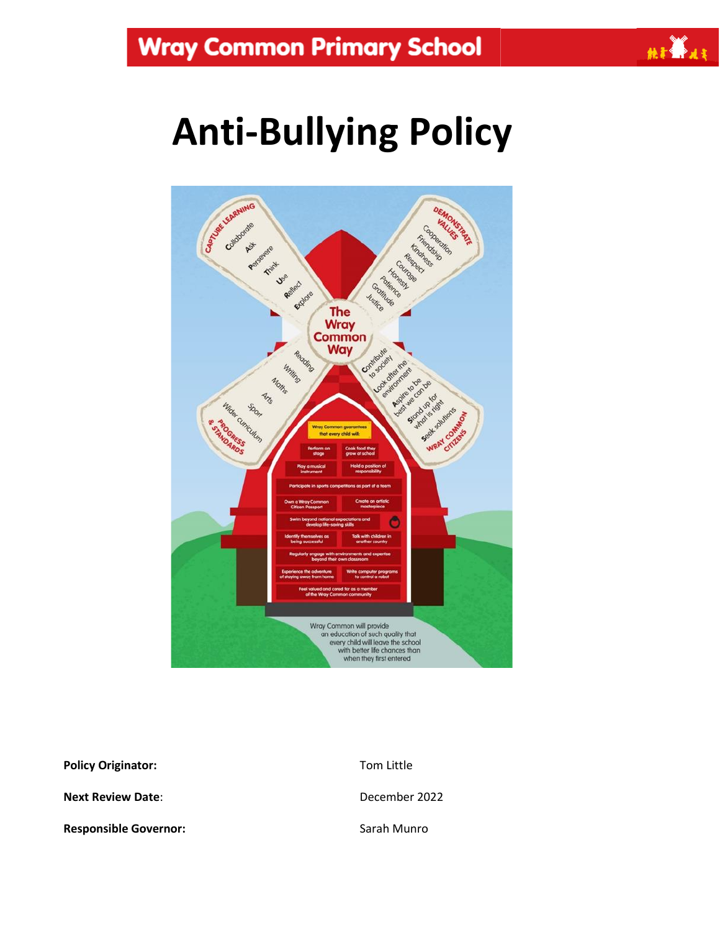

# **Anti-Bullying Policy**



**Policy Originator:** Tom Little **Next Review Date:**  $D = 2022$ **Responsible Governor:** Sarah Munro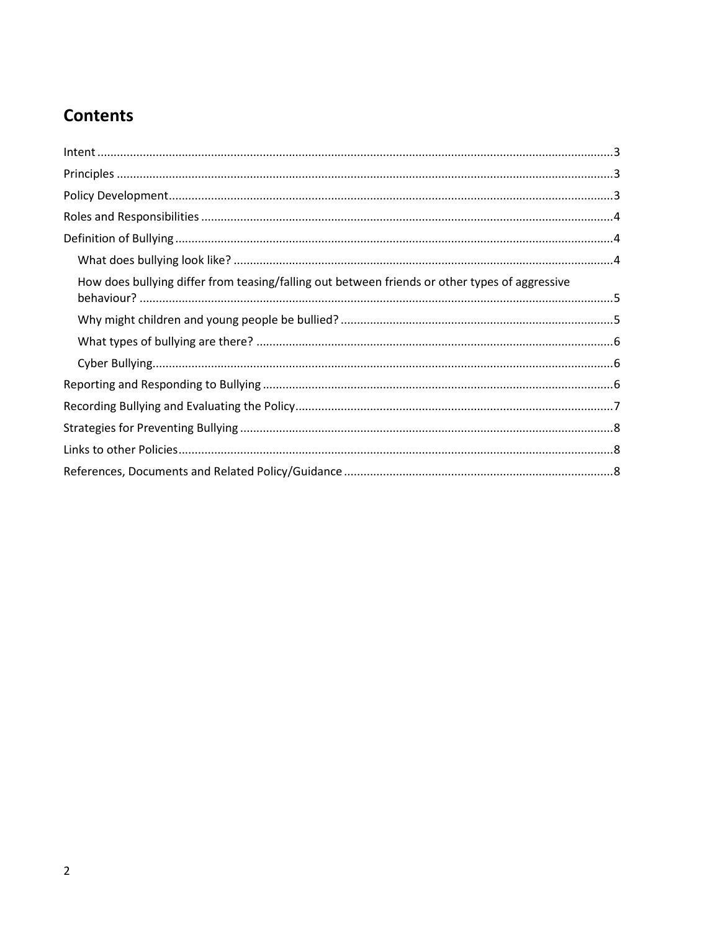## **Contents**

| $\label{eq:inter} \textit{Internet} \textit{} \textit{} \textit{} \textit{} \textit{} \textit{} \textit{} \textit{} \textit{} \textit{} \textit{} \textit{} \textit{} \textit{} \textit{} \textit{} \textit{} \textit{} \textit{} \textit{} \textit{} \textit{} \textit{} \textit{} \textit{} \textit{} \textit{} \textit{} \textit{} \textit{} \textit{} \textit{} \textit{} \textit{} \textit$ |  |
|--------------------------------------------------------------------------------------------------------------------------------------------------------------------------------------------------------------------------------------------------------------------------------------------------------------------------------------------------------------------------------------------------|--|
|                                                                                                                                                                                                                                                                                                                                                                                                  |  |
|                                                                                                                                                                                                                                                                                                                                                                                                  |  |
|                                                                                                                                                                                                                                                                                                                                                                                                  |  |
|                                                                                                                                                                                                                                                                                                                                                                                                  |  |
|                                                                                                                                                                                                                                                                                                                                                                                                  |  |
| How does bullying differ from teasing/falling out between friends or other types of aggressive                                                                                                                                                                                                                                                                                                   |  |
|                                                                                                                                                                                                                                                                                                                                                                                                  |  |
|                                                                                                                                                                                                                                                                                                                                                                                                  |  |
|                                                                                                                                                                                                                                                                                                                                                                                                  |  |
|                                                                                                                                                                                                                                                                                                                                                                                                  |  |
|                                                                                                                                                                                                                                                                                                                                                                                                  |  |
|                                                                                                                                                                                                                                                                                                                                                                                                  |  |
|                                                                                                                                                                                                                                                                                                                                                                                                  |  |
|                                                                                                                                                                                                                                                                                                                                                                                                  |  |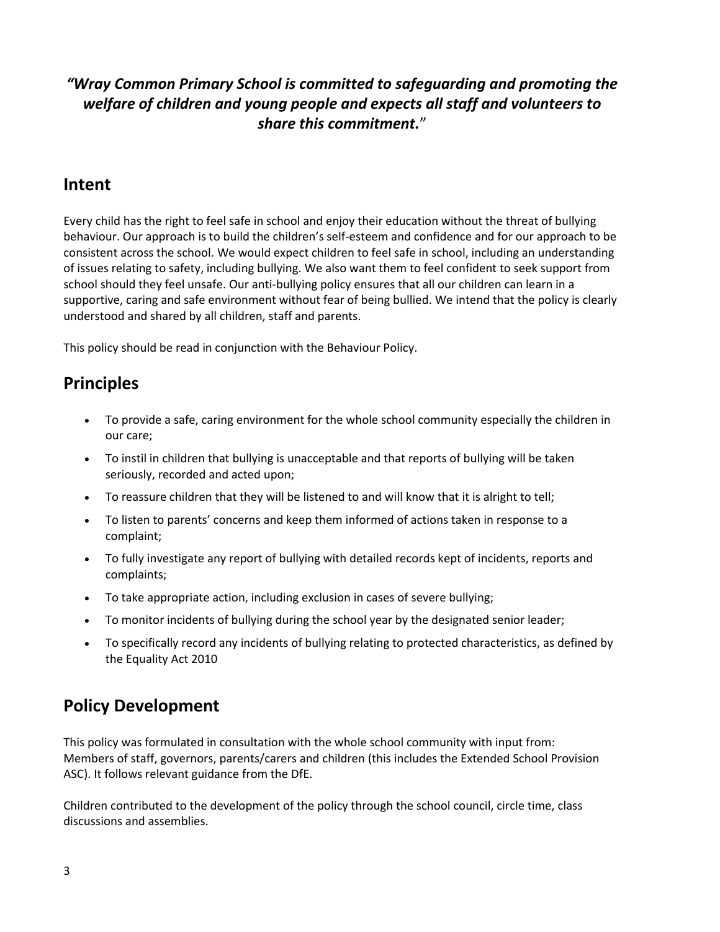#### *"Wray Common Primary School is committed to safeguarding and promoting the welfare of children and young people and expects all staff and volunteers to share this commitment.*"

#### <span id="page-2-0"></span>**Intent**

Every child has the right to feel safe in school and enjoy their education without the threat of bullying behaviour. Our approach is to build the children's self-esteem and confidence and for our approach to be consistent across the school. We would expect children to feel safe in school, including an understanding of issues relating to safety, including bullying. We also want them to feel confident to seek support from school should they feel unsafe. Our anti-bullying policy ensures that all our children can learn in a supportive, caring and safe environment without fear of being bullied. We intend that the policy is clearly understood and shared by all children, staff and parents.

This policy should be read in conjunction with the Behaviour Policy.

## <span id="page-2-1"></span>**Principles**

- To provide a safe, caring environment for the whole school community especially the children in our care;
- To instil in children that bullying is unacceptable and that reports of bullying will be taken seriously, recorded and acted upon;
- To reassure children that they will be listened to and will know that it is alright to tell;
- To listen to parents' concerns and keep them informed of actions taken in response to a complaint;
- To fully investigate any report of bullying with detailed records kept of incidents, reports and complaints;
- To take appropriate action, including exclusion in cases of severe bullying;
- To monitor incidents of bullying during the school year by the designated senior leader;
- To specifically record any incidents of bullying relating to protected characteristics, as defined by the Equality Act 2010

## <span id="page-2-2"></span>**Policy Development**

This policy was formulated in consultation with the whole school community with input from: Members of staff, governors, parents/carers and children (this includes the Extended School Provision ASC). It follows relevant guidance from the DfE.

Children contributed to the development of the policy through the school council, circle time, class discussions and assemblies.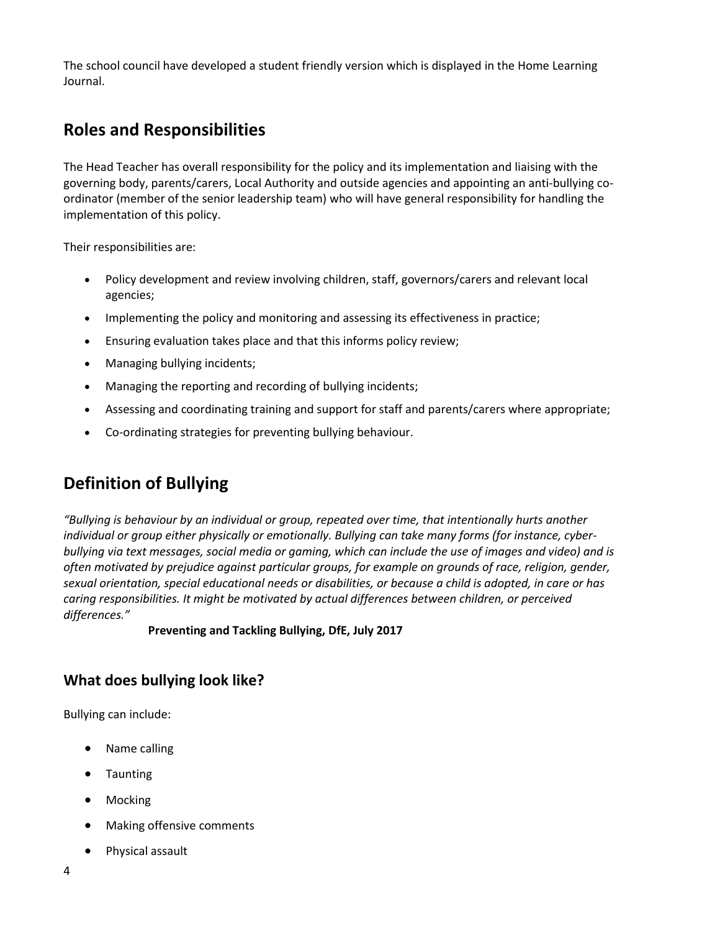The school council have developed a student friendly version which is displayed in the Home Learning Journal.

## <span id="page-3-0"></span>**Roles and Responsibilities**

The Head Teacher has overall responsibility for the policy and its implementation and liaising with the governing body, parents/carers, Local Authority and outside agencies and appointing an anti-bullying coordinator (member of the senior leadership team) who will have general responsibility for handling the implementation of this policy.

Their responsibilities are:

- Policy development and review involving children, staff, governors/carers and relevant local agencies;
- Implementing the policy and monitoring and assessing its effectiveness in practice;
- Ensuring evaluation takes place and that this informs policy review;
- Managing bullying incidents;
- Managing the reporting and recording of bullying incidents;
- Assessing and coordinating training and support for staff and parents/carers where appropriate;
- Co-ordinating strategies for preventing bullying behaviour.

## <span id="page-3-1"></span>**Definition of Bullying**

*"Bullying is behaviour by an individual or group, repeated over time, that intentionally hurts another individual or group either physically or emotionally. Bullying can take many forms (for instance, cyberbullying via text messages, social media or gaming, which can include the use of images and video) and is often motivated by prejudice against particular groups, for example on grounds of race, religion, gender, sexual orientation, special educational needs or disabilities, or because a child is adopted, in care or has caring responsibilities. It might be motivated by actual differences between children, or perceived differences."*

#### **Preventing and Tackling Bullying, DfE, July 2017**

#### <span id="page-3-2"></span>**What does bullying look like?**

Bullying can include:

- Name calling
- Taunting
- Mocking
- Making offensive comments
- Physical assault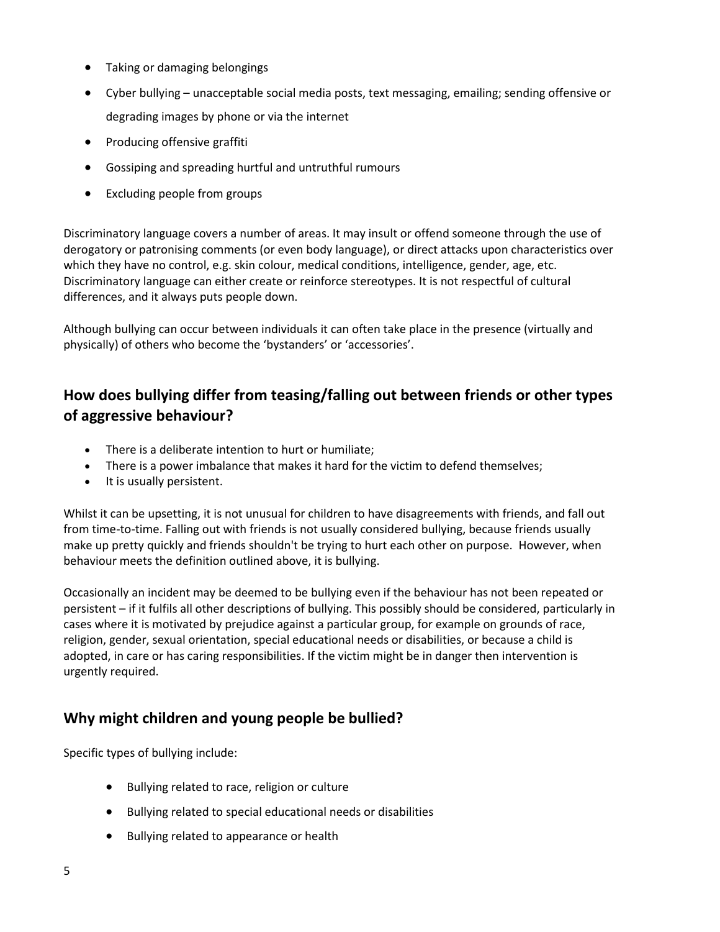- Taking or damaging belongings
- Cyber bullying unacceptable social media posts, text messaging, emailing; sending offensive or degrading images by phone or via the internet
- Producing offensive graffiti
- Gossiping and spreading hurtful and untruthful rumours
- Excluding people from groups

Discriminatory language covers a number of areas. It may insult or offend someone through the use of derogatory or patronising comments (or even body language), or direct attacks upon characteristics over which they have no control, e.g. skin colour, medical conditions, intelligence, gender, age, etc. Discriminatory language can either create or reinforce stereotypes. It is not respectful of cultural differences, and it always puts people down.

Although bullying can occur between individuals it can often take place in the presence (virtually and physically) of others who become the 'bystanders' or 'accessories'.

#### <span id="page-4-0"></span>**How does bullying differ from teasing/falling out between friends or other types of aggressive behaviour?**

- There is a deliberate intention to hurt or humiliate:
- There is a power imbalance that makes it hard for the victim to defend themselves;
- It is usually persistent.

Whilst it can be upsetting, it is not unusual for children to have disagreements with friends, and fall out from time-to-time. Falling out with friends is not usually considered bullying, because friends usually make up pretty quickly and friends shouldn't be trying to hurt each other on purpose.  However, when behaviour meets the definition outlined above, it is bullying.

Occasionally an incident may be deemed to be bullying even if the behaviour has not been repeated or persistent – if it fulfils all other descriptions of bullying. This possibly should be considered, particularly in cases where it is motivated by prejudice against a particular group, for example on grounds of race, religion, gender, sexual orientation, special educational needs or disabilities, or because a child is adopted, in care or has caring responsibilities. If the victim might be in danger then intervention is urgently required.

#### <span id="page-4-1"></span>**Why might children and young people be bullied?**

Specific types of bullying include:

- Bullying related to race, religion or culture
- Bullying related to special educational needs or disabilities
- Bullying related to appearance or health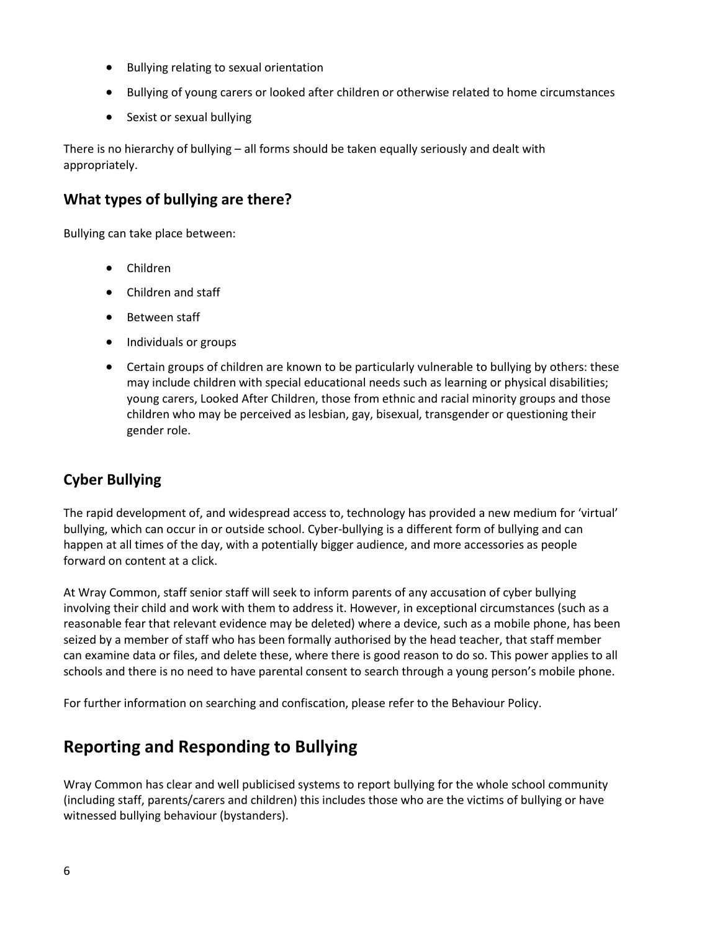- Bullying relating to sexual orientation
- Bullying of young carers or looked after children or otherwise related to home circumstances
- Sexist or sexual bullying

There is no hierarchy of bullying – all forms should be taken equally seriously and dealt with appropriately.

#### <span id="page-5-0"></span>**What types of bullying are there?**

Bullying can take place between:

- Children
- Children and staff
- **•** Between staff
- Individuals or groups
- Certain groups of children are known to be particularly vulnerable to bullying by others: these may include children with special educational needs such as learning or physical disabilities; young carers, Looked After Children, those from ethnic and racial minority groups and those children who may be perceived as lesbian, gay, bisexual, transgender or questioning their gender role.

#### <span id="page-5-1"></span>**Cyber Bullying**

The rapid development of, and widespread access to, technology has provided a new medium for 'virtual' bullying, which can occur in or outside school. Cyber-bullying is a different form of bullying and can happen at all times of the day, with a potentially bigger audience, and more accessories as people forward on content at a click.

At Wray Common, staff senior staff will seek to inform parents of any accusation of cyber bullying involving their child and work with them to address it. However, in exceptional circumstances (such as a reasonable fear that relevant evidence may be deleted) where a device, such as a mobile phone, has been seized by a member of staff who has been formally authorised by the head teacher, that staff member can examine data or files, and delete these, where there is good reason to do so. This power applies to all schools and there is no need to have parental consent to search through a young person's mobile phone.

For further information on searching and confiscation, please refer to the Behaviour Policy.

## <span id="page-5-2"></span>**Reporting and Responding to Bullying**

Wray Common has clear and well publicised systems to report bullying for the whole school community (including staff, parents/carers and children) this includes those who are the victims of bullying or have witnessed bullying behaviour (bystanders).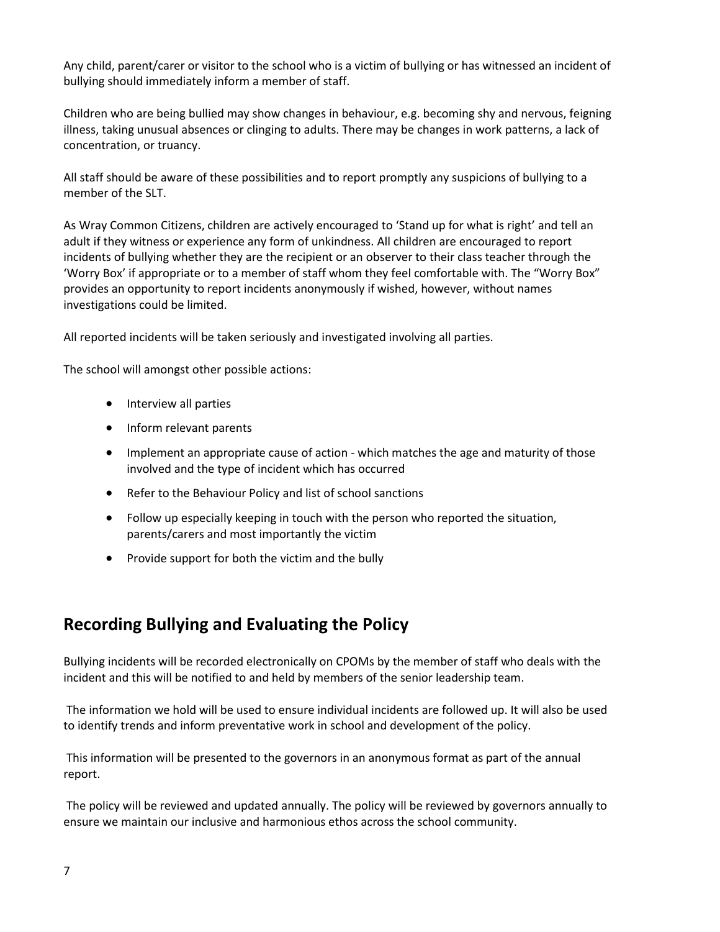Any child, parent/carer or visitor to the school who is a victim of bullying or has witnessed an incident of bullying should immediately inform a member of staff.

Children who are being bullied may show changes in behaviour, e.g. becoming shy and nervous, feigning illness, taking unusual absences or clinging to adults. There may be changes in work patterns, a lack of concentration, or truancy.

All staff should be aware of these possibilities and to report promptly any suspicions of bullying to a member of the SLT.

As Wray Common Citizens, children are actively encouraged to 'Stand up for what is right' and tell an adult if they witness or experience any form of unkindness. All children are encouraged to report incidents of bullying whether they are the recipient or an observer to their class teacher through the 'Worry Box' if appropriate or to a member of staff whom they feel comfortable with. The "Worry Box" provides an opportunity to report incidents anonymously if wished, however, without names investigations could be limited.

All reported incidents will be taken seriously and investigated involving all parties.

The school will amongst other possible actions:

- Interview all parties
- Inform relevant parents
- Implement an appropriate cause of action which matches the age and maturity of those involved and the type of incident which has occurred
- Refer to the Behaviour Policy and list of school sanctions
- Follow up especially keeping in touch with the person who reported the situation, parents/carers and most importantly the victim
- Provide support for both the victim and the bully

### <span id="page-6-0"></span>**Recording Bullying and Evaluating the Policy**

Bullying incidents will be recorded electronically on CPOMs by the member of staff who deals with the incident and this will be notified to and held by members of the senior leadership team.

The information we hold will be used to ensure individual incidents are followed up. It will also be used to identify trends and inform preventative work in school and development of the policy.

This information will be presented to the governors in an anonymous format as part of the annual report.

The policy will be reviewed and updated annually. The policy will be reviewed by governors annually to ensure we maintain our inclusive and harmonious ethos across the school community.